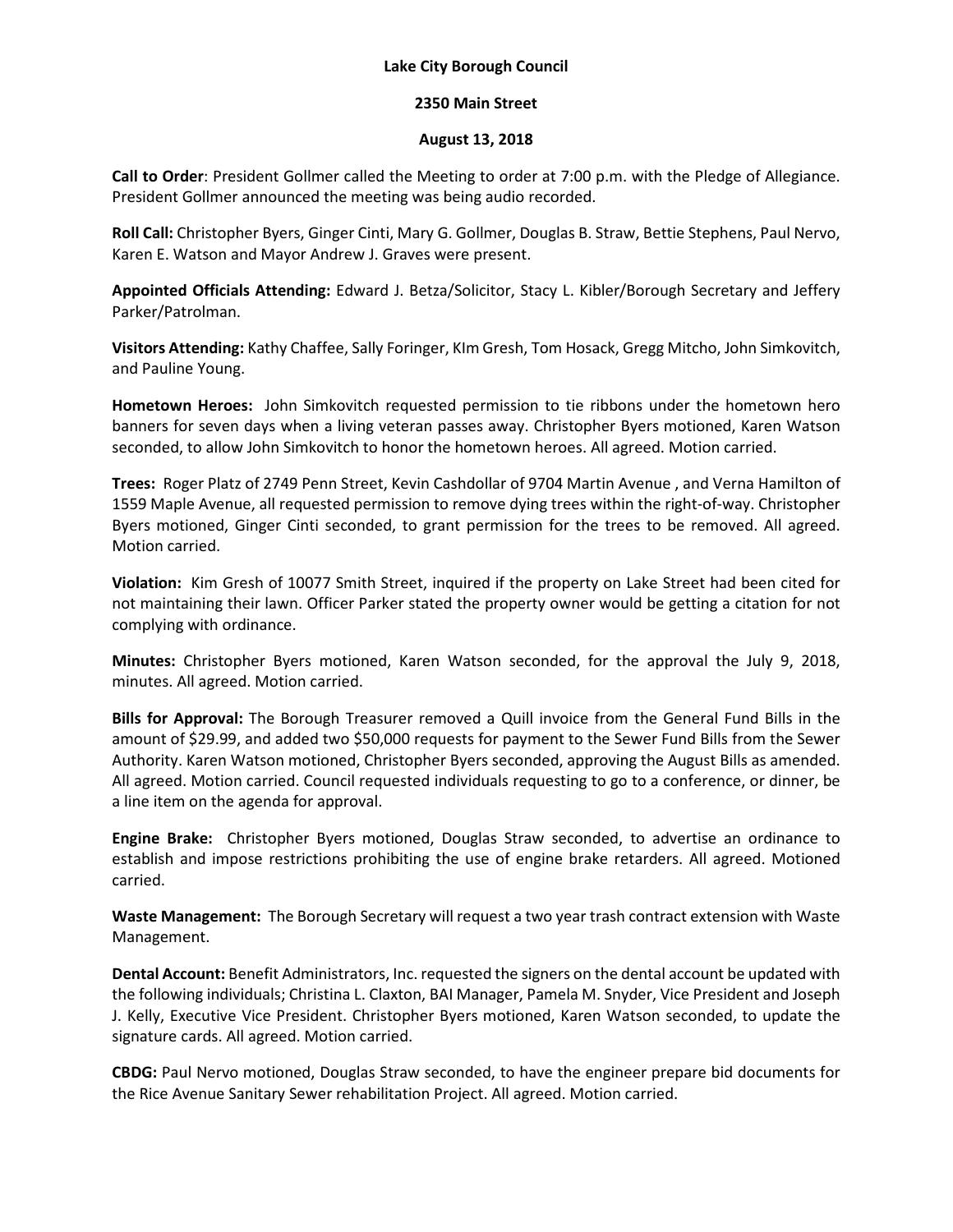## **Lake City Borough Council**

## **2350 Main Street**

## **August 13, 2018**

**Call to Order**: President Gollmer called the Meeting to order at 7:00 p.m. with the Pledge of Allegiance. President Gollmer announced the meeting was being audio recorded.

**Roll Call:** Christopher Byers, Ginger Cinti, Mary G. Gollmer, Douglas B. Straw, Bettie Stephens, Paul Nervo, Karen E. Watson and Mayor Andrew J. Graves were present.

**Appointed Officials Attending:** Edward J. Betza/Solicitor, Stacy L. Kibler/Borough Secretary and Jeffery Parker/Patrolman.

**Visitors Attending:** Kathy Chaffee, Sally Foringer, KIm Gresh, Tom Hosack, Gregg Mitcho, John Simkovitch, and Pauline Young.

**Hometown Heroes:** John Simkovitch requested permission to tie ribbons under the hometown hero banners for seven days when a living veteran passes away. Christopher Byers motioned, Karen Watson seconded, to allow John Simkovitch to honor the hometown heroes. All agreed. Motion carried.

**Trees:** Roger Platz of 2749 Penn Street, Kevin Cashdollar of 9704 Martin Avenue , and Verna Hamilton of 1559 Maple Avenue, all requested permission to remove dying trees within the right-of-way. Christopher Byers motioned, Ginger Cinti seconded, to grant permission for the trees to be removed. All agreed. Motion carried.

**Violation:** Kim Gresh of 10077 Smith Street, inquired if the property on Lake Street had been cited for not maintaining their lawn. Officer Parker stated the property owner would be getting a citation for not complying with ordinance.

**Minutes:** Christopher Byers motioned, Karen Watson seconded, for the approval the July 9, 2018, minutes. All agreed. Motion carried.

**Bills for Approval:** The Borough Treasurer removed a Quill invoice from the General Fund Bills in the amount of \$29.99, and added two \$50,000 requests for payment to the Sewer Fund Bills from the Sewer Authority. Karen Watson motioned, Christopher Byers seconded, approving the August Bills as amended. All agreed. Motion carried. Council requested individuals requesting to go to a conference, or dinner, be a line item on the agenda for approval.

**Engine Brake:** Christopher Byers motioned, Douglas Straw seconded, to advertise an ordinance to establish and impose restrictions prohibiting the use of engine brake retarders. All agreed. Motioned carried.

**Waste Management:** The Borough Secretary will request a two year trash contract extension with Waste Management.

**Dental Account:** Benefit Administrators, Inc. requested the signers on the dental account be updated with the following individuals; Christina L. Claxton, BAI Manager, Pamela M. Snyder, Vice President and Joseph J. Kelly, Executive Vice President. Christopher Byers motioned, Karen Watson seconded, to update the signature cards. All agreed. Motion carried.

**CBDG:** Paul Nervo motioned, Douglas Straw seconded, to have the engineer prepare bid documents for the Rice Avenue Sanitary Sewer rehabilitation Project. All agreed. Motion carried.